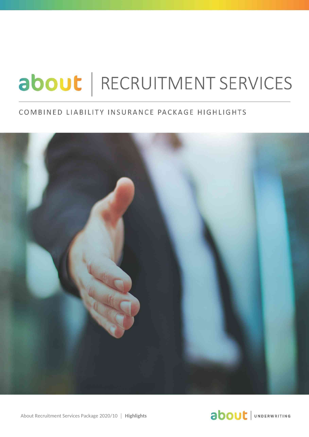# about | RECRUITMENT SERVICES

### COMBINED LIABILITY INSURANCE PACKAGE HIGHLIGHTS



About Recruitment Services Package 2020/10 │ **Highlights** 

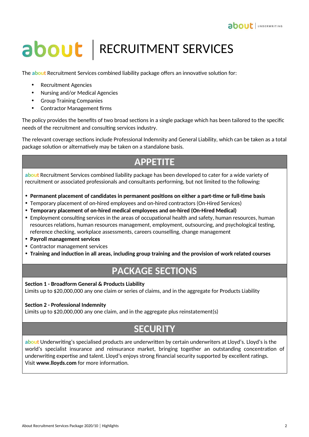# about | RECRUITMENT SERVICES

The **about** Recruitment Services combined liability package offers an innovative solution for:

- Recruitment Agencies
- Nursing and/or Medical Agencies
- Group Training Companies
- Contractor Management firms

The policy provides the benefits of two broad sections in a single package which has been tailored to the specific needs of the recruitment and consulting services industry.

The relevant coverage sections include Professional Indemnity and General Liability, which can be taken as a total package solution or alternatively may be taken on a standalone basis.

## **APPETITE**

**about** Recruitment Services combined liability package has been developed to cater for a wide variety of recruitment or associated professionals and consultants performing, but not limited to the following:

- **Permanent placement of candidates in permanent positions on either a part-time or full-time basis**
- Temporary placement of on-hired employees and on-hired contractors (On-Hired Services)
- **Temporary placement of on-hired medical employees and on-hired (On-Hired Medical)**
- Employment consulting services in the areas of occupational health and safety, human resources, human resources relations, human resources management, employment, outsourcing, and psychological testing, reference checking, workplace assessments, careers counselling, change management
- **Payroll management services**
- Contractor management services
- **Training and induction in all areas, including group training and the provision of work related courses**

## **PACKAGE SECTIONS**

#### **Section 1 - Broadform General & Products Liability**

Limits up to \$20,000,000 any one claim or series of claims, and in the aggregate for Products Liability

#### **Section 2 - Professional Indemnity**

Limits up to \$20,000,000 any one claim, and in the aggregate plus reinstatement(s)

## **SECURITY**

**about** Underwriting's specialised products are underwritten by certain underwriters at Lloyd's. Lloyd's is the world's specialist insurance and reinsurance market, bringing together an outstanding concentration of underwriting expertise and talent. Lloyd's enjoys strong financial security supported by excellent ratings. Visit **www.lloyds.com** for more information.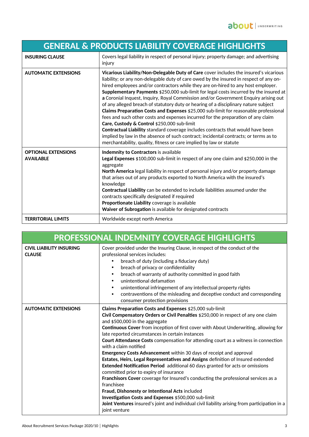| <b>GENERAL &amp; PRODUCTS LIABILITY COVERAGE HIGHLIGHTS</b> |                                                                                                                                                                                                                                                                                                                                                                                                                                                                                                                                                                                                                                                                                                                                                                                                                                                                                                                                                                                                                         |
|-------------------------------------------------------------|-------------------------------------------------------------------------------------------------------------------------------------------------------------------------------------------------------------------------------------------------------------------------------------------------------------------------------------------------------------------------------------------------------------------------------------------------------------------------------------------------------------------------------------------------------------------------------------------------------------------------------------------------------------------------------------------------------------------------------------------------------------------------------------------------------------------------------------------------------------------------------------------------------------------------------------------------------------------------------------------------------------------------|
| <b>INSURING CLAUSE</b>                                      | Covers legal liability in respect of personal injury; property damage; and advertising<br>injury                                                                                                                                                                                                                                                                                                                                                                                                                                                                                                                                                                                                                                                                                                                                                                                                                                                                                                                        |
| <b>AUTOMATIC EXTENSIONS</b>                                 | Vicarious Liability/Non-Delegable Duty of Care cover includes the insured's vicarious<br>liability; or any non-delegable duty of care owed by the insured in respect of any on-<br>hired employees and/or contractors while they are on-hired to any host employer.<br>Supplementary Payments \$250,000 sub-limit for legal costs incurred by the insured at<br>a Coronial Inquest, Inquiry, Royal Commission and/or Government Enquiry arising out<br>of any alleged breach of statutory duty or hearing of a disciplinary nature subject<br>Claims Preparation Costs and Expenses \$25,000 sub-limit for reasonable professional<br>fees and such other costs and expenses incurred for the preparation of any claim<br>Care, Custody & Control \$250,000 sub-limit<br>Contractual Liability standard coverage includes contracts that would have been<br>implied by law in the absence of such contract; incidental contracts; or terms as to<br>merchantability, quality, fitness or care implied by law or statute |
| <b>OPTIONAL EXTENSIONS</b><br><b>AVAILABLE</b>              | Indemnity to Contractors is available<br>Legal Expenses \$100,000 sub-limit in respect of any one claim and \$250,000 in the<br>aggregate<br>North America legal liability in respect of personal injury and/or property damage<br>that arises out of any products exported to North America with the insured's<br>knowledge<br>Contractual Liability can be extended to include liabilities assumed under the<br>contracts specifically designated if required<br>Proportionate Liability coverage is available<br>Waiver of Subrogation is available for designated contracts                                                                                                                                                                                                                                                                                                                                                                                                                                         |
| <b>TERRITORIAL LIMITS</b>                                   | Worldwide except north America                                                                                                                                                                                                                                                                                                                                                                                                                                                                                                                                                                                                                                                                                                                                                                                                                                                                                                                                                                                          |

| <b>PROFESSIONAL INDEMNITY COVERAGE HIGHLIGHTS</b> |                                                                                                                                                                                                                                                                                                                                                                                                                                                                                                                                                                                                                                                                                                                                                                                                                                                                                                                                                                                                                                                                         |  |
|---------------------------------------------------|-------------------------------------------------------------------------------------------------------------------------------------------------------------------------------------------------------------------------------------------------------------------------------------------------------------------------------------------------------------------------------------------------------------------------------------------------------------------------------------------------------------------------------------------------------------------------------------------------------------------------------------------------------------------------------------------------------------------------------------------------------------------------------------------------------------------------------------------------------------------------------------------------------------------------------------------------------------------------------------------------------------------------------------------------------------------------|--|
| <b>CIVIL LIABILITY INSURING</b><br><b>CLAUSE</b>  | Cover provided under the Insuring Clause, in respect of the conduct of the<br>professional services includes:<br>breach of duty (including a fiduciary duty)<br>breach of privacy or confidentiality<br>breach of warranty of authority committed in good faith<br>unintentional defamation<br>unintentional infringement of any intellectual property rights<br>٠<br>contraventions of the misleading and deceptive conduct and corresponding<br>consumer protection provisions                                                                                                                                                                                                                                                                                                                                                                                                                                                                                                                                                                                        |  |
| <b>AUTOMATIC EXTENSIONS</b>                       | Claims Preparation Costs and Expenses \$25,000 sub-limit<br>Civil Compensatory Orders or Civil Penalties \$250,000 in respect of any one claim<br>and \$500,000 in the aggregate<br>Continuous Cover from inception of first cover with About Underwriting, allowing for<br>late reported circumstances in certain instances<br>Court Attendance Costs compensation for attending court as a witness in connection<br>with a claim notified<br><b>Emergency Costs Advancement</b> within 30 days of receipt and approval<br>Estates, Heirs, Legal Representatives and Assigns definition of Insured extended<br>Extended Notification Period additional 60 days granted for acts or omissions<br>committed prior to expiry of insurance<br>Franchisors Cover coverage for Insured's conducting the professional services as a<br>franchisee<br>Fraud, Dishonesty or Intentional Acts included<br>Investigation Costs and Expenses \$500,000 sub-limit<br>Joint Ventures insured's joint and individual civil liability arising from participation in a<br>joint venture |  |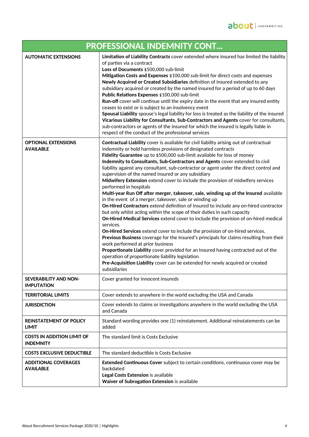| <b>PROFESSIONAL INDEMNITY CONT</b>                    |                                                                                                                                                                                                                                                                                                                                                                                                                                                                                                                                                                                                                                                                                                                                                                                                                                                                                                                                                                                                                                                                                                                                                                                                                                                                                                                                                                                                                                                                        |  |
|-------------------------------------------------------|------------------------------------------------------------------------------------------------------------------------------------------------------------------------------------------------------------------------------------------------------------------------------------------------------------------------------------------------------------------------------------------------------------------------------------------------------------------------------------------------------------------------------------------------------------------------------------------------------------------------------------------------------------------------------------------------------------------------------------------------------------------------------------------------------------------------------------------------------------------------------------------------------------------------------------------------------------------------------------------------------------------------------------------------------------------------------------------------------------------------------------------------------------------------------------------------------------------------------------------------------------------------------------------------------------------------------------------------------------------------------------------------------------------------------------------------------------------------|--|
| <b>AUTOMATIC EXTENSIONS</b>                           | Limitation of Liability Contracts cover extended where insured has limited the liability<br>of parties via a contract<br>Loss of Documents \$500,000 sub-limit<br>Mitigation Costs and Expenses \$100,000 sub-limit for direct costs and expenses<br>Newly Acquired or Created Subsidiaries definition of Insured extended to any<br>subsidiary acquired or created by the named insured for a period of up to 60 days<br>Public Relations Expenses \$100,000 sub-limit<br>Run-off cover will continue until the expiry date in the event that any insured entity<br>ceases to exist or is subject to an insolvency event<br>Spousal Liability spouse's legal liability for loss is treated as the liability of the insured<br>Vicarious Liability for Consultants, Sub-Contractors and Agents cover for consultants,<br>sub-contractors or agents of the insured for which the insured is legally liable in<br>respect of the conduct of the professional services                                                                                                                                                                                                                                                                                                                                                                                                                                                                                                    |  |
| <b>OPTIONAL EXTENSIONS</b><br><b>AVAILABLE</b>        | Contractual Liability cover is available for civil liability arising out of contractual<br>indemnity or hold harmless provisions of designated contracts<br>Fidelity Guarantee up to \$500,000 sub-limit available for loss of money<br>Indemnity to Consultants, Sub-Contractors and Agents cover extended to civil<br>liability against any consultant, sub-contractor or agent under the direct control and<br>supervision of the named insured or any subsidiary<br>Midwifery Extension extend cover to include the provision of midwifery services<br>performed in hospitals<br>Multi-year Run Off after merger, takeover, sale, winding up of the Insured available<br>in the event of a merger, takeover, sale or winding up<br>On-Hired Contractors extend definition of Insured to include any on-hired contractor<br>but only whilst acting within the scope of their duties in such capacity<br>On-Hired Medical Services extend cover to include the provision of on-hired medical<br>services.<br>On-Hired Services extend cover to include the provision of on-hired services.<br>Previous Business coverage for the Insured's principals for claims resulting from their<br>work performed at prior business<br>Proportionate Liability cover provided for an Insured having contracted out of the<br>operation of proportionate liability legislation<br>Pre-Acquisition Liability cover can be extended for newly acquired or created<br>subsidiaries |  |
| <b>SEVERABILITY AND NON-</b><br><b>IMPUTATION</b>     | Cover granted for innocent insureds                                                                                                                                                                                                                                                                                                                                                                                                                                                                                                                                                                                                                                                                                                                                                                                                                                                                                                                                                                                                                                                                                                                                                                                                                                                                                                                                                                                                                                    |  |
| <b>TERRITORIAL LIMITS</b>                             | Cover extends to anywhere in the world excluding the USA and Canada                                                                                                                                                                                                                                                                                                                                                                                                                                                                                                                                                                                                                                                                                                                                                                                                                                                                                                                                                                                                                                                                                                                                                                                                                                                                                                                                                                                                    |  |
| <b>JURISDICTION</b>                                   | Cover extends to claims or investigations anywhere in the world excluding the USA<br>and Canada                                                                                                                                                                                                                                                                                                                                                                                                                                                                                                                                                                                                                                                                                                                                                                                                                                                                                                                                                                                                                                                                                                                                                                                                                                                                                                                                                                        |  |
| <b>REINSTATEMENT OF POLICY</b><br><b>LIMIT</b>        | Standard wording provides one (1) reinstatement. Additional reinstatements can be<br>added                                                                                                                                                                                                                                                                                                                                                                                                                                                                                                                                                                                                                                                                                                                                                                                                                                                                                                                                                                                                                                                                                                                                                                                                                                                                                                                                                                             |  |
| <b>COSTS IN ADDITION LIMIT OF</b><br><b>INDEMNITY</b> | The standard limit is Costs Exclusive                                                                                                                                                                                                                                                                                                                                                                                                                                                                                                                                                                                                                                                                                                                                                                                                                                                                                                                                                                                                                                                                                                                                                                                                                                                                                                                                                                                                                                  |  |
| <b>COSTS EXCLUSIVE DEDUCTIBLE</b>                     | The standard deductible is Costs Exclusive                                                                                                                                                                                                                                                                                                                                                                                                                                                                                                                                                                                                                                                                                                                                                                                                                                                                                                                                                                                                                                                                                                                                                                                                                                                                                                                                                                                                                             |  |
| <b>ADDITIONAL COVERAGES</b><br><b>AVAILABLE</b>       | Extended Continuous Cover subject to certain conditions, continuous cover may be<br>backdated<br>Legal Costs Extension is available<br>Waiver of Subrogation Extension is available                                                                                                                                                                                                                                                                                                                                                                                                                                                                                                                                                                                                                                                                                                                                                                                                                                                                                                                                                                                                                                                                                                                                                                                                                                                                                    |  |